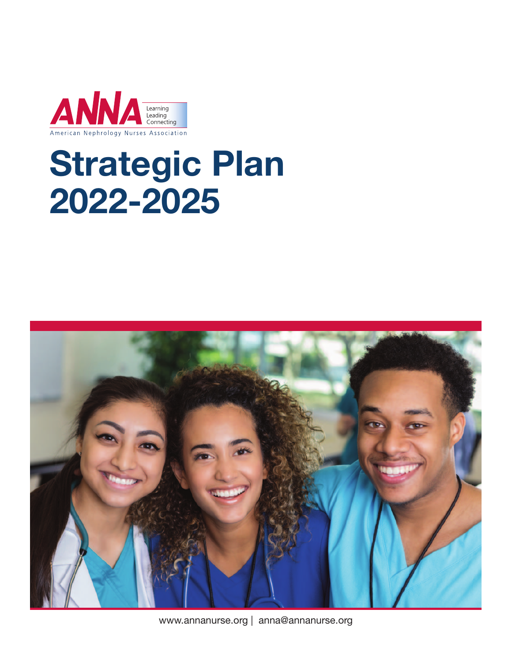

# **Strategic Plan 2022-2025**



www.annanurse.org | anna@annanurse.org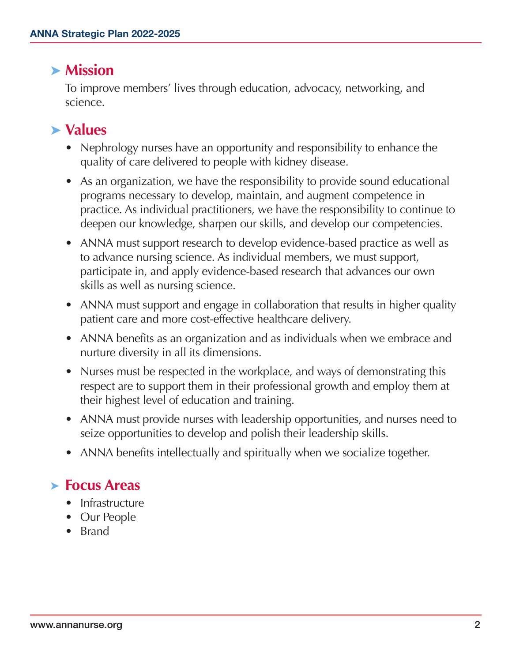#### **➤ Mission**

To improve members' lives through education, advocacy, networking, and science.

#### **➤ Values**

- Nephrology nurses have an opportunity and responsibility to enhance the quality of care delivered to people with kidney disease.
- As an organization, we have the responsibility to provide sound educational programs necessary to develop, maintain, and augment competence in practice. As individual practitioners, we have the responsibility to continue to deepen our knowledge, sharpen our skills, and develop our competencies.
- ANNA must support research to develop evidence-based practice as well as to advance nursing science. As individual members, we must support, participate in, and apply evidence-based research that advances our own skills as well as nursing science.
- ANNA must support and engage in collaboration that results in higher quality patient care and more cost-effective healthcare delivery.
- ANNA benefits as an organization and as individuals when we embrace and nurture diversity in all its dimensions.
- Nurses must be respected in the workplace, and ways of demonstrating this respect are to support them in their professional growth and employ them at their highest level of education and training.
- ANNA must provide nurses with leadership opportunities, and nurses need to seize opportunities to develop and polish their leadership skills.
- ANNA benefits intellectually and spiritually when we socialize together.

## **➤ Focus Areas**

- Infrastructure
- Our People
- Brand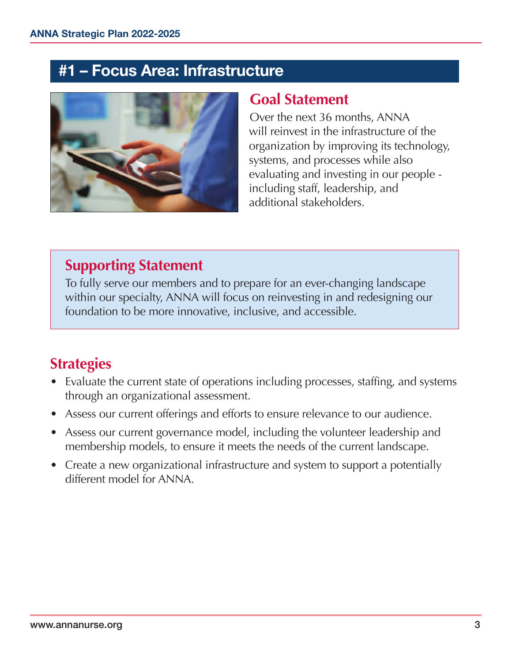#### **#1 – Focus Area: Infrastructure**



#### **Goal Statement**

Over the next 36 months, ANNA will reinvest in the infrastructure of the organization by improving its technology, systems, and processes while also evaluating and investing in our people including staff, leadership, and additional stakeholders.

#### **Supporting Statement**

To fully serve our members and to prepare for an ever-changing landscape within our specialty, ANNA will focus on reinvesting in and redesigning our foundation to be more innovative, inclusive, and accessible.

## **Strategies**

- Evaluate the current state of operations including processes, staffing, and systems through an organizational assessment.
- Assess our current offerings and efforts to ensure relevance to our audience.
- Assess our current governance model, including the volunteer leadership and membership models, to ensure it meets the needs of the current landscape.
- Create a new organizational infrastructure and system to support a potentially different model for ANNA.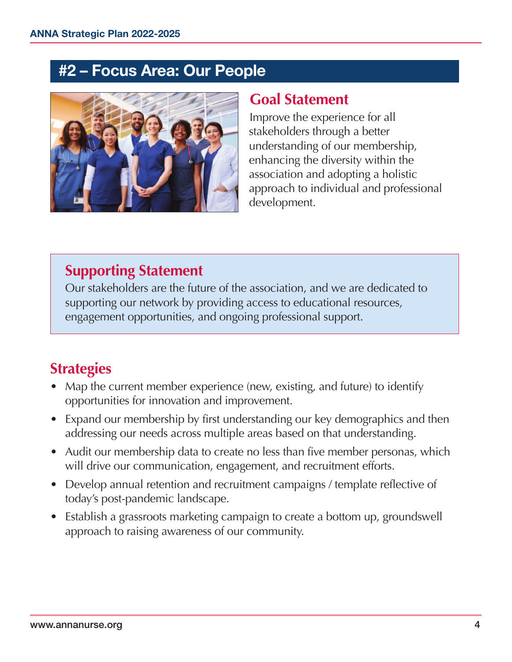## **#2 – Focus Area: Our People**



#### **Goal Statement**

Improve the experience for all stakeholders through a better understanding of our membership, enhancing the diversity within the association and adopting a holistic approach to individual and professional development.

## **Supporting Statement**

Our stakeholders are the future of the association, and we are dedicated to supporting our network by providing access to educational resources, engagement opportunities, and ongoing professional support.

# **Strategies**

- Map the current member experience (new, existing, and future) to identify opportunities for innovation and improvement.
- Expand our membership by first understanding our key demographics and then addressing our needs across multiple areas based on that understanding.
- Audit our membership data to create no less than five member personas, which will drive our communication, engagement, and recruitment efforts.
- Develop annual retention and recruitment campaigns / template reflective of today's post-pandemic landscape.
- Establish a grassroots marketing campaign to create a bottom up, groundswell approach to raising awareness of our community.